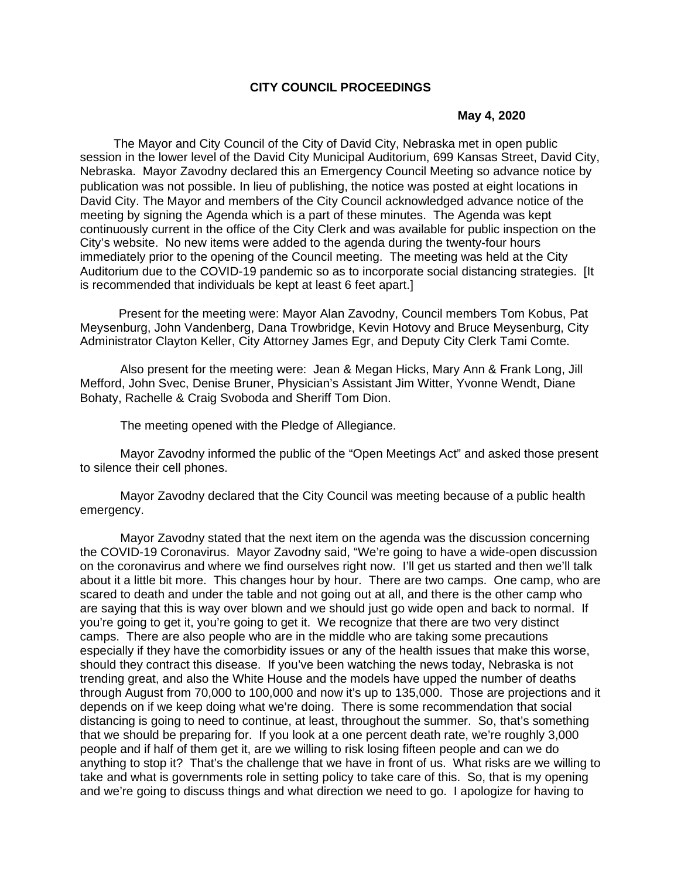### **CITY COUNCIL PROCEEDINGS**

#### **May 4, 2020**

 The Mayor and City Council of the City of David City, Nebraska met in open public session in the lower level of the David City Municipal Auditorium, 699 Kansas Street, David City, Nebraska. Mayor Zavodny declared this an Emergency Council Meeting so advance notice by publication was not possible. In lieu of publishing, the notice was posted at eight locations in David City. The Mayor and members of the City Council acknowledged advance notice of the meeting by signing the Agenda which is a part of these minutes. The Agenda was kept continuously current in the office of the City Clerk and was available for public inspection on the City's website. No new items were added to the agenda during the twenty-four hours immediately prior to the opening of the Council meeting. The meeting was held at the City Auditorium due to the COVID-19 pandemic so as to incorporate social distancing strategies. [It is recommended that individuals be kept at least 6 feet apart.]

 Present for the meeting were: Mayor Alan Zavodny, Council members Tom Kobus, Pat Meysenburg, John Vandenberg, Dana Trowbridge, Kevin Hotovy and Bruce Meysenburg, City Administrator Clayton Keller, City Attorney James Egr, and Deputy City Clerk Tami Comte.

Also present for the meeting were: Jean & Megan Hicks, Mary Ann & Frank Long, Jill Mefford, John Svec, Denise Bruner, Physician's Assistant Jim Witter, Yvonne Wendt, Diane Bohaty, Rachelle & Craig Svoboda and Sheriff Tom Dion.

The meeting opened with the Pledge of Allegiance.

 Mayor Zavodny informed the public of the "Open Meetings Act" and asked those present to silence their cell phones.

 Mayor Zavodny declared that the City Council was meeting because of a public health emergency.

 Mayor Zavodny stated that the next item on the agenda was the discussion concerning the COVID-19 Coronavirus. Mayor Zavodny said, "We're going to have a wide-open discussion on the coronavirus and where we find ourselves right now. I'll get us started and then we'll talk about it a little bit more. This changes hour by hour. There are two camps. One camp, who are scared to death and under the table and not going out at all, and there is the other camp who are saying that this is way over blown and we should just go wide open and back to normal. If you're going to get it, you're going to get it. We recognize that there are two very distinct camps. There are also people who are in the middle who are taking some precautions especially if they have the comorbidity issues or any of the health issues that make this worse, should they contract this disease. If you've been watching the news today, Nebraska is not trending great, and also the White House and the models have upped the number of deaths through August from 70,000 to 100,000 and now it's up to 135,000. Those are projections and it depends on if we keep doing what we're doing. There is some recommendation that social distancing is going to need to continue, at least, throughout the summer. So, that's something that we should be preparing for. If you look at a one percent death rate, we're roughly 3,000 people and if half of them get it, are we willing to risk losing fifteen people and can we do anything to stop it? That's the challenge that we have in front of us. What risks are we willing to take and what is governments role in setting policy to take care of this. So, that is my opening and we're going to discuss things and what direction we need to go. I apologize for having to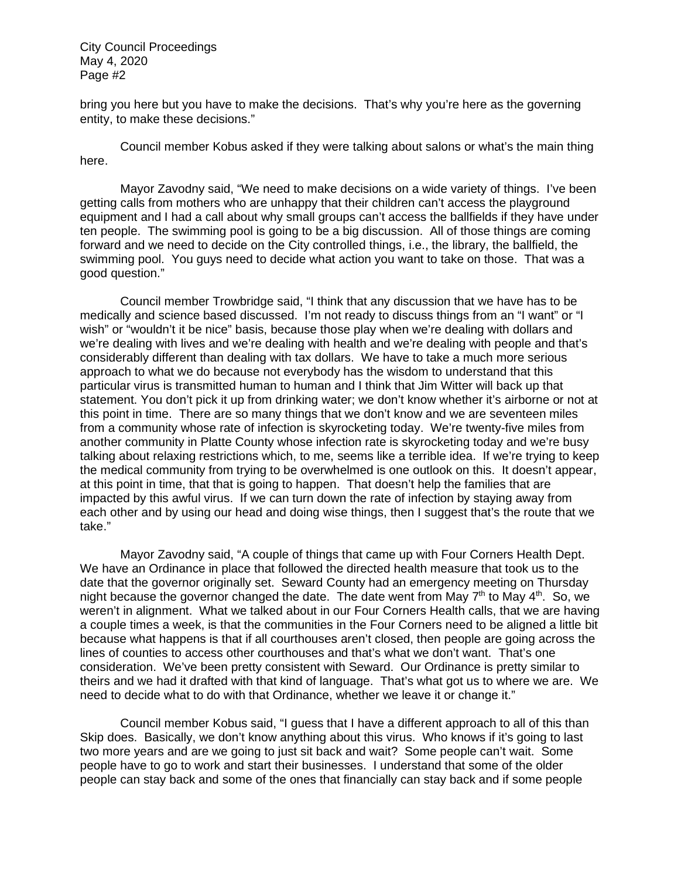bring you here but you have to make the decisions. That's why you're here as the governing entity, to make these decisions."

 Council member Kobus asked if they were talking about salons or what's the main thing here.

 Mayor Zavodny said, "We need to make decisions on a wide variety of things. I've been getting calls from mothers who are unhappy that their children can't access the playground equipment and I had a call about why small groups can't access the ballfields if they have under ten people. The swimming pool is going to be a big discussion. All of those things are coming forward and we need to decide on the City controlled things, i.e., the library, the ballfield, the swimming pool. You guys need to decide what action you want to take on those. That was a good question."

 Council member Trowbridge said, "I think that any discussion that we have has to be medically and science based discussed. I'm not ready to discuss things from an "I want" or "I wish" or "wouldn't it be nice" basis, because those play when we're dealing with dollars and we're dealing with lives and we're dealing with health and we're dealing with people and that's considerably different than dealing with tax dollars. We have to take a much more serious approach to what we do because not everybody has the wisdom to understand that this particular virus is transmitted human to human and I think that Jim Witter will back up that statement. You don't pick it up from drinking water; we don't know whether it's airborne or not at this point in time. There are so many things that we don't know and we are seventeen miles from a community whose rate of infection is skyrocketing today. We're twenty-five miles from another community in Platte County whose infection rate is skyrocketing today and we're busy talking about relaxing restrictions which, to me, seems like a terrible idea. If we're trying to keep the medical community from trying to be overwhelmed is one outlook on this. It doesn't appear, at this point in time, that that is going to happen. That doesn't help the families that are impacted by this awful virus. If we can turn down the rate of infection by staying away from each other and by using our head and doing wise things, then I suggest that's the route that we take."

 Mayor Zavodny said, "A couple of things that came up with Four Corners Health Dept. We have an Ordinance in place that followed the directed health measure that took us to the date that the governor originally set. Seward County had an emergency meeting on Thursday night because the governor changed the date. The date went from May  $7<sup>th</sup>$  to May  $4<sup>th</sup>$ . So, we weren't in alignment. What we talked about in our Four Corners Health calls, that we are having a couple times a week, is that the communities in the Four Corners need to be aligned a little bit because what happens is that if all courthouses aren't closed, then people are going across the lines of counties to access other courthouses and that's what we don't want. That's one consideration. We've been pretty consistent with Seward. Our Ordinance is pretty similar to theirs and we had it drafted with that kind of language. That's what got us to where we are. We need to decide what to do with that Ordinance, whether we leave it or change it."

 Council member Kobus said, "I guess that I have a different approach to all of this than Skip does. Basically, we don't know anything about this virus. Who knows if it's going to last two more years and are we going to just sit back and wait? Some people can't wait. Some people have to go to work and start their businesses. I understand that some of the older people can stay back and some of the ones that financially can stay back and if some people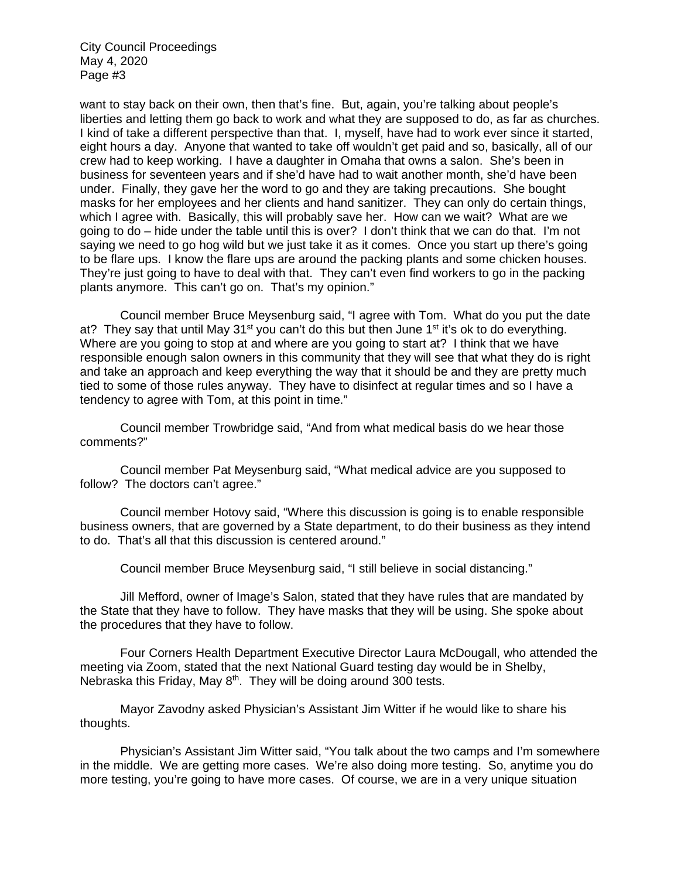want to stay back on their own, then that's fine. But, again, you're talking about people's liberties and letting them go back to work and what they are supposed to do, as far as churches. I kind of take a different perspective than that. I, myself, have had to work ever since it started, eight hours a day. Anyone that wanted to take off wouldn't get paid and so, basically, all of our crew had to keep working. I have a daughter in Omaha that owns a salon. She's been in business for seventeen years and if she'd have had to wait another month, she'd have been under. Finally, they gave her the word to go and they are taking precautions. She bought masks for her employees and her clients and hand sanitizer. They can only do certain things, which I agree with. Basically, this will probably save her. How can we wait? What are we going to do – hide under the table until this is over? I don't think that we can do that. I'm not saying we need to go hog wild but we just take it as it comes. Once you start up there's going to be flare ups. I know the flare ups are around the packing plants and some chicken houses. They're just going to have to deal with that. They can't even find workers to go in the packing plants anymore. This can't go on. That's my opinion."

 Council member Bruce Meysenburg said, "I agree with Tom. What do you put the date at? They say that until May  $31<sup>st</sup>$  you can't do this but then June  $1<sup>st</sup>$  it's ok to do everything. Where are you going to stop at and where are you going to start at? I think that we have responsible enough salon owners in this community that they will see that what they do is right and take an approach and keep everything the way that it should be and they are pretty much tied to some of those rules anyway. They have to disinfect at regular times and so I have a tendency to agree with Tom, at this point in time."

 Council member Trowbridge said, "And from what medical basis do we hear those comments?"

 Council member Pat Meysenburg said, "What medical advice are you supposed to follow? The doctors can't agree."

 Council member Hotovy said, "Where this discussion is going is to enable responsible business owners, that are governed by a State department, to do their business as they intend to do. That's all that this discussion is centered around."

Council member Bruce Meysenburg said, "I still believe in social distancing."

 Jill Mefford, owner of Image's Salon, stated that they have rules that are mandated by the State that they have to follow. They have masks that they will be using. She spoke about the procedures that they have to follow.

 Four Corners Health Department Executive Director Laura McDougall, who attended the meeting via Zoom, stated that the next National Guard testing day would be in Shelby, Nebraska this Friday, May  $8<sup>th</sup>$ . They will be doing around 300 tests.

 Mayor Zavodny asked Physician's Assistant Jim Witter if he would like to share his thoughts.

 Physician's Assistant Jim Witter said, "You talk about the two camps and I'm somewhere in the middle. We are getting more cases. We're also doing more testing. So, anytime you do more testing, you're going to have more cases. Of course, we are in a very unique situation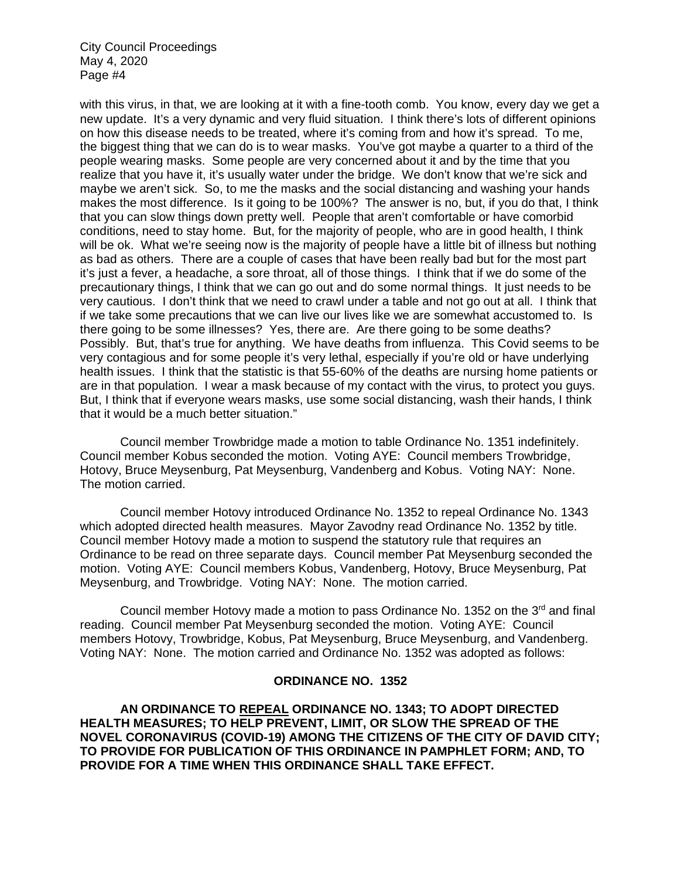with this virus, in that, we are looking at it with a fine-tooth comb. You know, every day we get a new update. It's a very dynamic and very fluid situation. I think there's lots of different opinions on how this disease needs to be treated, where it's coming from and how it's spread. To me, the biggest thing that we can do is to wear masks. You've got maybe a quarter to a third of the people wearing masks. Some people are very concerned about it and by the time that you realize that you have it, it's usually water under the bridge. We don't know that we're sick and maybe we aren't sick. So, to me the masks and the social distancing and washing your hands makes the most difference. Is it going to be 100%? The answer is no, but, if you do that, I think that you can slow things down pretty well. People that aren't comfortable or have comorbid conditions, need to stay home. But, for the majority of people, who are in good health, I think will be ok. What we're seeing now is the majority of people have a little bit of illness but nothing as bad as others. There are a couple of cases that have been really bad but for the most part it's just a fever, a headache, a sore throat, all of those things. I think that if we do some of the precautionary things, I think that we can go out and do some normal things. It just needs to be very cautious. I don't think that we need to crawl under a table and not go out at all. I think that if we take some precautions that we can live our lives like we are somewhat accustomed to. Is there going to be some illnesses? Yes, there are. Are there going to be some deaths? Possibly. But, that's true for anything. We have deaths from influenza. This Covid seems to be very contagious and for some people it's very lethal, especially if you're old or have underlying health issues. I think that the statistic is that 55-60% of the deaths are nursing home patients or are in that population. I wear a mask because of my contact with the virus, to protect you guys. But, I think that if everyone wears masks, use some social distancing, wash their hands, I think that it would be a much better situation."

 Council member Trowbridge made a motion to table Ordinance No. 1351 indefinitely. Council member Kobus seconded the motion. Voting AYE: Council members Trowbridge, Hotovy, Bruce Meysenburg, Pat Meysenburg, Vandenberg and Kobus. Voting NAY: None. The motion carried.

 Council member Hotovy introduced Ordinance No. 1352 to repeal Ordinance No. 1343 which adopted directed health measures. Mayor Zavodny read Ordinance No. 1352 by title. Council member Hotovy made a motion to suspend the statutory rule that requires an Ordinance to be read on three separate days. Council member Pat Meysenburg seconded the motion. Voting AYE: Council members Kobus, Vandenberg, Hotovy, Bruce Meysenburg, Pat Meysenburg, and Trowbridge. Voting NAY: None. The motion carried.

Council member Hotovy made a motion to pass Ordinance No. 1352 on the  $3<sup>rd</sup>$  and final reading. Council member Pat Meysenburg seconded the motion. Voting AYE: Council members Hotovy, Trowbridge, Kobus, Pat Meysenburg, Bruce Meysenburg, and Vandenberg. Voting NAY: None. The motion carried and Ordinance No. 1352 was adopted as follows:

## **ORDINANCE NO. 1352**

**AN ORDINANCE TO REPEAL ORDINANCE NO. 1343; TO ADOPT DIRECTED HEALTH MEASURES; TO HELP PREVENT, LIMIT, OR SLOW THE SPREAD OF THE NOVEL CORONAVIRUS (COVID-19) AMONG THE CITIZENS OF THE CITY OF DAVID CITY; TO PROVIDE FOR PUBLICATION OF THIS ORDINANCE IN PAMPHLET FORM; AND, TO PROVIDE FOR A TIME WHEN THIS ORDINANCE SHALL TAKE EFFECT.**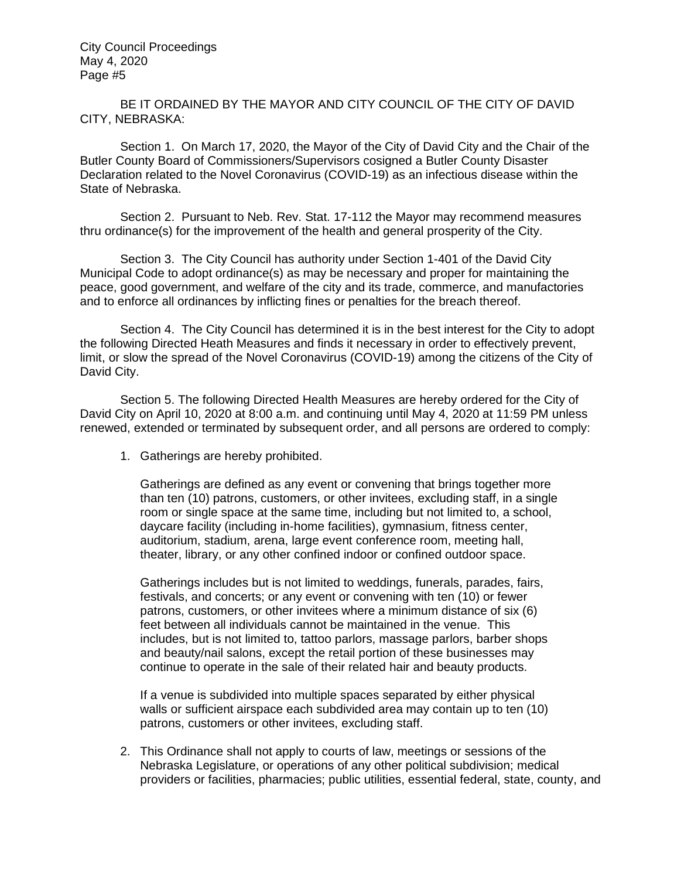BE IT ORDAINED BY THE MAYOR AND CITY COUNCIL OF THE CITY OF DAVID CITY, NEBRASKA:

Section 1. On March 17, 2020, the Mayor of the City of David City and the Chair of the Butler County Board of Commissioners/Supervisors cosigned a Butler County Disaster Declaration related to the Novel Coronavirus (COVID-19) as an infectious disease within the State of Nebraska.

Section 2. Pursuant to Neb. Rev. Stat. 17-112 the Mayor may recommend measures thru ordinance(s) for the improvement of the health and general prosperity of the City.

Section 3. The City Council has authority under Section 1-401 of the David City Municipal Code to adopt ordinance(s) as may be necessary and proper for maintaining the peace, good government, and welfare of the city and its trade, commerce, and manufactories and to enforce all ordinances by inflicting fines or penalties for the breach thereof.

Section 4. The City Council has determined it is in the best interest for the City to adopt the following Directed Heath Measures and finds it necessary in order to effectively prevent, limit, or slow the spread of the Novel Coronavirus (COVID-19) among the citizens of the City of David City.

Section 5. The following Directed Health Measures are hereby ordered for the City of David City on April 10, 2020 at 8:00 a.m. and continuing until May 4, 2020 at 11:59 PM unless renewed, extended or terminated by subsequent order, and all persons are ordered to comply:

1. Gatherings are hereby prohibited.

Gatherings are defined as any event or convening that brings together more than ten (10) patrons, customers, or other invitees, excluding staff, in a single room or single space at the same time, including but not limited to, a school, daycare facility (including in-home facilities), gymnasium, fitness center, auditorium, stadium, arena, large event conference room, meeting hall, theater, library, or any other confined indoor or confined outdoor space.

Gatherings includes but is not limited to weddings, funerals, parades, fairs, festivals, and concerts; or any event or convening with ten (10) or fewer patrons, customers, or other invitees where a minimum distance of six (6) feet between all individuals cannot be maintained in the venue. This includes, but is not limited to, tattoo parlors, massage parlors, barber shops and beauty/nail salons, except the retail portion of these businesses may continue to operate in the sale of their related hair and beauty products.

If a venue is subdivided into multiple spaces separated by either physical walls or sufficient airspace each subdivided area may contain up to ten (10) patrons, customers or other invitees, excluding staff.

2. This Ordinance shall not apply to courts of law, meetings or sessions of the Nebraska Legislature, or operations of any other political subdivision; medical providers or facilities, pharmacies; public utilities, essential federal, state, county, and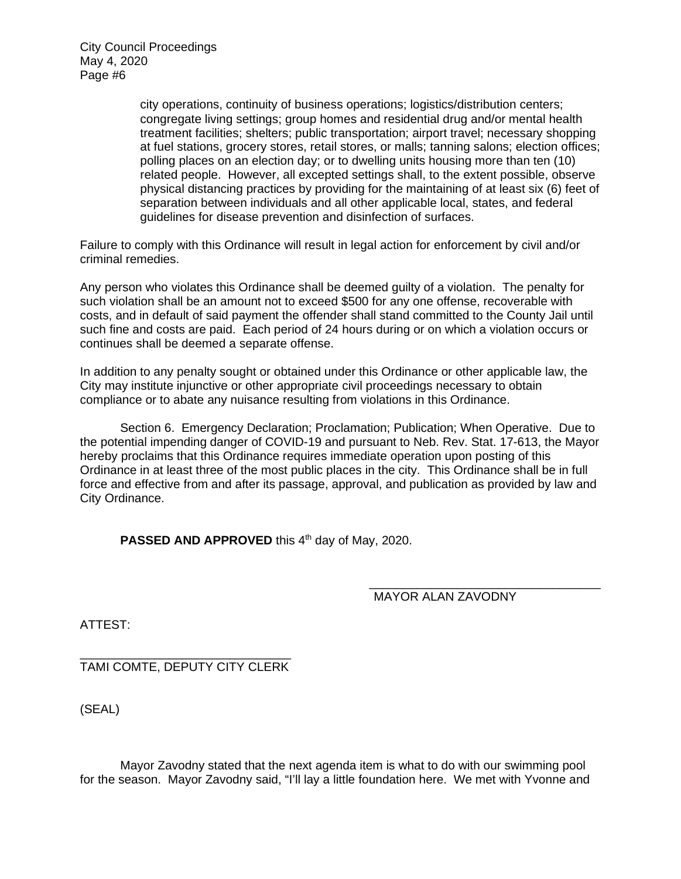> city operations, continuity of business operations; logistics/distribution centers; congregate living settings; group homes and residential drug and/or mental health treatment facilities; shelters; public transportation; airport travel; necessary shopping at fuel stations, grocery stores, retail stores, or malls; tanning salons; election offices; polling places on an election day; or to dwelling units housing more than ten (10) related people. However, all excepted settings shall, to the extent possible, observe physical distancing practices by providing for the maintaining of at least six (6) feet of separation between individuals and all other applicable local, states, and federal guidelines for disease prevention and disinfection of surfaces.

Failure to comply with this Ordinance will result in legal action for enforcement by civil and/or criminal remedies.

Any person who violates this Ordinance shall be deemed guilty of a violation. The penalty for such violation shall be an amount not to exceed \$500 for any one offense, recoverable with costs, and in default of said payment the offender shall stand committed to the County Jail until such fine and costs are paid. Each period of 24 hours during or on which a violation occurs or continues shall be deemed a separate offense.

In addition to any penalty sought or obtained under this Ordinance or other applicable law, the City may institute injunctive or other appropriate civil proceedings necessary to obtain compliance or to abate any nuisance resulting from violations in this Ordinance.

 Section 6. Emergency Declaration; Proclamation; Publication; When Operative. Due to the potential impending danger of COVID-19 and pursuant to Neb. Rev. Stat. 17-613, the Mayor hereby proclaims that this Ordinance requires immediate operation upon posting of this Ordinance in at least three of the most public places in the city. This Ordinance shall be in full force and effective from and after its passage, approval, and publication as provided by law and City Ordinance.

**PASSED AND APPROVED** this 4<sup>th</sup> day of May, 2020.

### \_\_\_\_\_\_\_\_\_\_\_\_\_\_\_\_\_\_\_\_\_\_\_\_\_\_\_\_\_\_\_\_\_\_ MAYOR ALAN ZAVODNY

ATTEST:

\_\_\_\_\_\_\_\_\_\_\_\_\_\_\_\_\_\_\_\_\_\_\_\_\_\_\_\_\_\_\_ TAMI COMTE, DEPUTY CITY CLERK

(SEAL)

 Mayor Zavodny stated that the next agenda item is what to do with our swimming pool for the season. Mayor Zavodny said, "I'll lay a little foundation here. We met with Yvonne and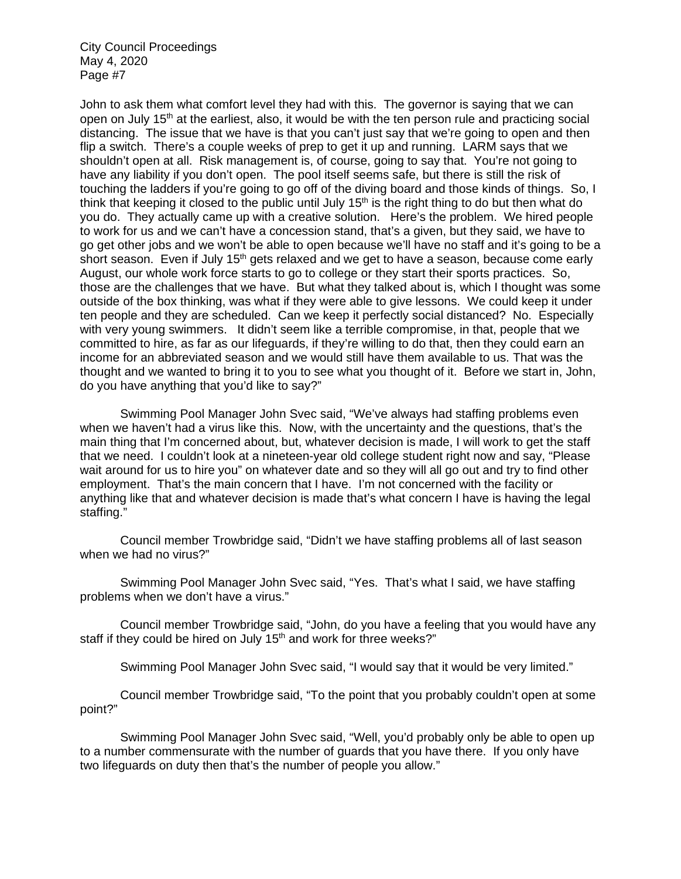John to ask them what comfort level they had with this. The governor is saying that we can open on July  $15<sup>th</sup>$  at the earliest, also, it would be with the ten person rule and practicing social distancing. The issue that we have is that you can't just say that we're going to open and then flip a switch. There's a couple weeks of prep to get it up and running. LARM says that we shouldn't open at all. Risk management is, of course, going to say that. You're not going to have any liability if you don't open. The pool itself seems safe, but there is still the risk of touching the ladders if you're going to go off of the diving board and those kinds of things. So, I think that keeping it closed to the public until July  $15<sup>th</sup>$  is the right thing to do but then what do you do. They actually came up with a creative solution. Here's the problem. We hired people to work for us and we can't have a concession stand, that's a given, but they said, we have to go get other jobs and we won't be able to open because we'll have no staff and it's going to be a short season. Even if July 15<sup>th</sup> gets relaxed and we get to have a season, because come early August, our whole work force starts to go to college or they start their sports practices. So, those are the challenges that we have. But what they talked about is, which I thought was some outside of the box thinking, was what if they were able to give lessons. We could keep it under ten people and they are scheduled. Can we keep it perfectly social distanced? No. Especially with very young swimmers. It didn't seem like a terrible compromise, in that, people that we committed to hire, as far as our lifeguards, if they're willing to do that, then they could earn an income for an abbreviated season and we would still have them available to us. That was the thought and we wanted to bring it to you to see what you thought of it. Before we start in, John, do you have anything that you'd like to say?"

 Swimming Pool Manager John Svec said, "We've always had staffing problems even when we haven't had a virus like this. Now, with the uncertainty and the questions, that's the main thing that I'm concerned about, but, whatever decision is made, I will work to get the staff that we need. I couldn't look at a nineteen-year old college student right now and say, "Please wait around for us to hire you" on whatever date and so they will all go out and try to find other employment. That's the main concern that I have. I'm not concerned with the facility or anything like that and whatever decision is made that's what concern I have is having the legal staffing."

 Council member Trowbridge said, "Didn't we have staffing problems all of last season when we had no virus?"

 Swimming Pool Manager John Svec said, "Yes. That's what I said, we have staffing problems when we don't have a virus."

 Council member Trowbridge said, "John, do you have a feeling that you would have any staff if they could be hired on July 15<sup>th</sup> and work for three weeks?"

Swimming Pool Manager John Svec said, "I would say that it would be very limited."

 Council member Trowbridge said, "To the point that you probably couldn't open at some point?"

 Swimming Pool Manager John Svec said, "Well, you'd probably only be able to open up to a number commensurate with the number of guards that you have there. If you only have two lifeguards on duty then that's the number of people you allow."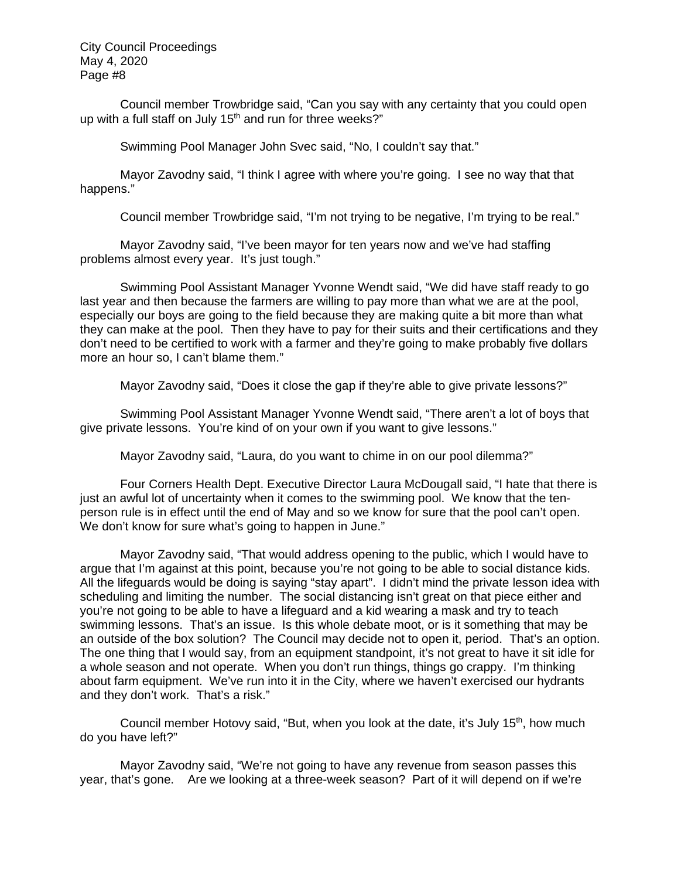Council member Trowbridge said, "Can you say with any certainty that you could open up with a full staff on July 15<sup>th</sup> and run for three weeks?"

Swimming Pool Manager John Svec said, "No, I couldn't say that."

 Mayor Zavodny said, "I think I agree with where you're going. I see no way that that happens."

Council member Trowbridge said, "I'm not trying to be negative, I'm trying to be real."

 Mayor Zavodny said, "I've been mayor for ten years now and we've had staffing problems almost every year. It's just tough."

 Swimming Pool Assistant Manager Yvonne Wendt said, "We did have staff ready to go last year and then because the farmers are willing to pay more than what we are at the pool, especially our boys are going to the field because they are making quite a bit more than what they can make at the pool. Then they have to pay for their suits and their certifications and they don't need to be certified to work with a farmer and they're going to make probably five dollars more an hour so, I can't blame them."

Mayor Zavodny said, "Does it close the gap if they're able to give private lessons?"

 Swimming Pool Assistant Manager Yvonne Wendt said, "There aren't a lot of boys that give private lessons. You're kind of on your own if you want to give lessons."

Mayor Zavodny said, "Laura, do you want to chime in on our pool dilemma?"

 Four Corners Health Dept. Executive Director Laura McDougall said, "I hate that there is just an awful lot of uncertainty when it comes to the swimming pool. We know that the tenperson rule is in effect until the end of May and so we know for sure that the pool can't open. We don't know for sure what's going to happen in June."

 Mayor Zavodny said, "That would address opening to the public, which I would have to argue that I'm against at this point, because you're not going to be able to social distance kids. All the lifeguards would be doing is saying "stay apart". I didn't mind the private lesson idea with scheduling and limiting the number. The social distancing isn't great on that piece either and you're not going to be able to have a lifeguard and a kid wearing a mask and try to teach swimming lessons. That's an issue. Is this whole debate moot, or is it something that may be an outside of the box solution? The Council may decide not to open it, period. That's an option. The one thing that I would say, from an equipment standpoint, it's not great to have it sit idle for a whole season and not operate. When you don't run things, things go crappy. I'm thinking about farm equipment. We've run into it in the City, where we haven't exercised our hydrants and they don't work. That's a risk."

Council member Hotovy said, "But, when you look at the date, it's July  $15<sup>th</sup>$ , how much do you have left?"

 Mayor Zavodny said, "We're not going to have any revenue from season passes this year, that's gone. Are we looking at a three-week season? Part of it will depend on if we're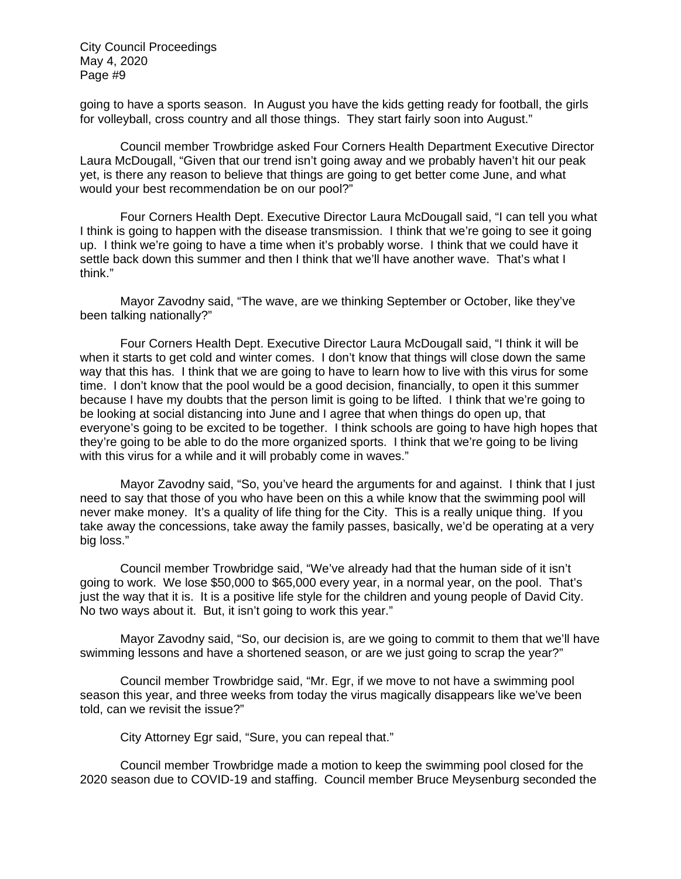going to have a sports season. In August you have the kids getting ready for football, the girls for volleyball, cross country and all those things. They start fairly soon into August."

 Council member Trowbridge asked Four Corners Health Department Executive Director Laura McDougall, "Given that our trend isn't going away and we probably haven't hit our peak yet, is there any reason to believe that things are going to get better come June, and what would your best recommendation be on our pool?"

 Four Corners Health Dept. Executive Director Laura McDougall said, "I can tell you what I think is going to happen with the disease transmission. I think that we're going to see it going up. I think we're going to have a time when it's probably worse. I think that we could have it settle back down this summer and then I think that we'll have another wave. That's what I think."

 Mayor Zavodny said, "The wave, are we thinking September or October, like they've been talking nationally?"

 Four Corners Health Dept. Executive Director Laura McDougall said, "I think it will be when it starts to get cold and winter comes. I don't know that things will close down the same way that this has. I think that we are going to have to learn how to live with this virus for some time. I don't know that the pool would be a good decision, financially, to open it this summer because I have my doubts that the person limit is going to be lifted. I think that we're going to be looking at social distancing into June and I agree that when things do open up, that everyone's going to be excited to be together. I think schools are going to have high hopes that they're going to be able to do the more organized sports. I think that we're going to be living with this virus for a while and it will probably come in waves."

 Mayor Zavodny said, "So, you've heard the arguments for and against. I think that I just need to say that those of you who have been on this a while know that the swimming pool will never make money. It's a quality of life thing for the City. This is a really unique thing. If you take away the concessions, take away the family passes, basically, we'd be operating at a very big loss."

 Council member Trowbridge said, "We've already had that the human side of it isn't going to work. We lose \$50,000 to \$65,000 every year, in a normal year, on the pool. That's just the way that it is. It is a positive life style for the children and young people of David City. No two ways about it. But, it isn't going to work this year."

 Mayor Zavodny said, "So, our decision is, are we going to commit to them that we'll have swimming lessons and have a shortened season, or are we just going to scrap the year?"

 Council member Trowbridge said, "Mr. Egr, if we move to not have a swimming pool season this year, and three weeks from today the virus magically disappears like we've been told, can we revisit the issue?"

City Attorney Egr said, "Sure, you can repeal that."

 Council member Trowbridge made a motion to keep the swimming pool closed for the 2020 season due to COVID-19 and staffing. Council member Bruce Meysenburg seconded the